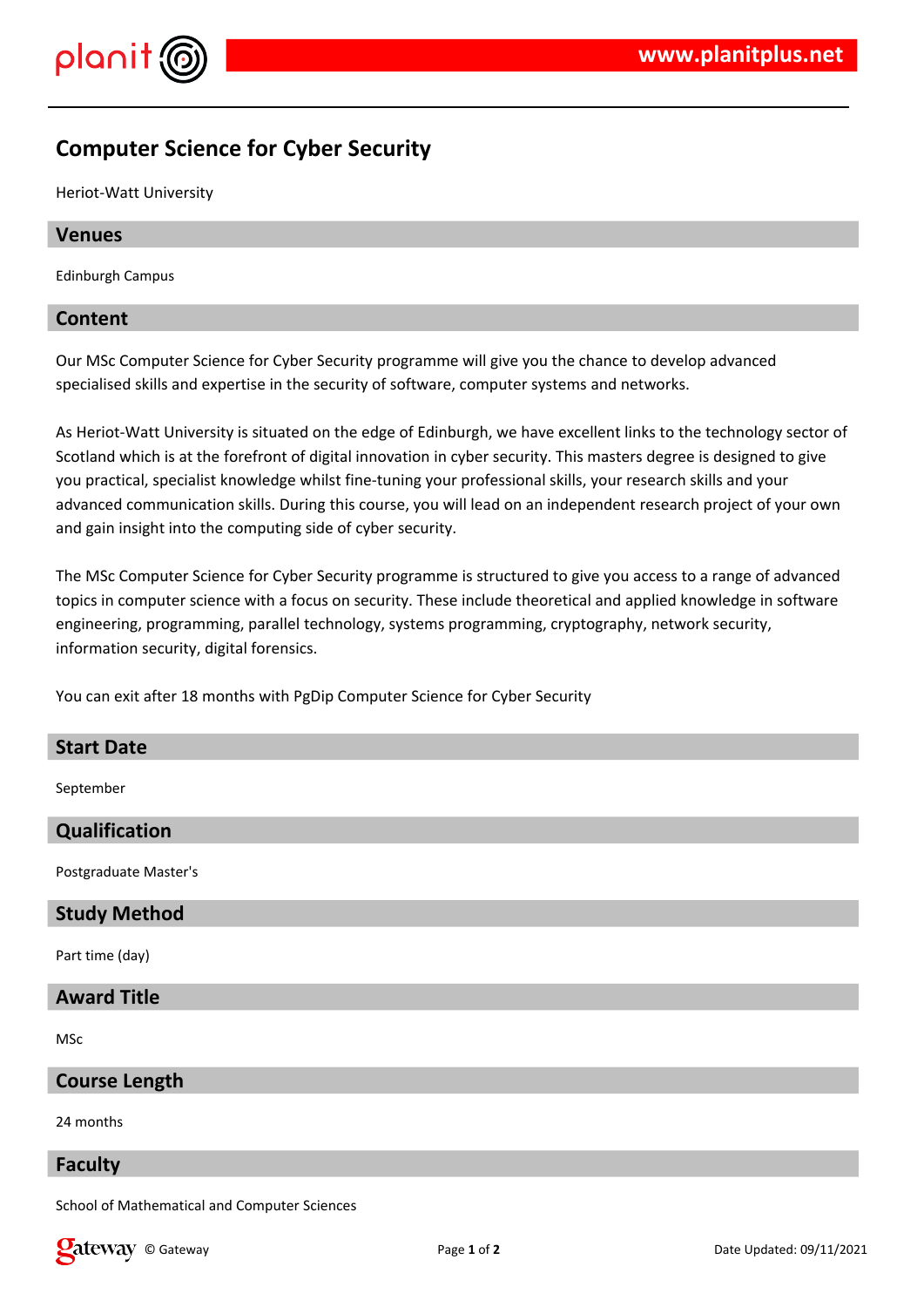

# **Computer Science for Cyber Security**

Heriot-Watt University

# **Venues**

Edinburgh Campus

# **Content**

Our MSc Computer Science for Cyber Security programme will give you the chance to develop advanced specialised skills and expertise in the security of software, computer systems and networks.

As Heriot-Watt University is situated on the edge of Edinburgh, we have excellent links to the technology sector of Scotland which is at the forefront of digital innovation in cyber security. This masters degree is designed to give you practical, specialist knowledge whilst fine-tuning your professional skills, your research skills and your advanced communication skills. During this course, you will lead on an independent research project of your own and gain insight into the computing side of cyber security.

The MSc Computer Science for Cyber Security programme is structured to give you access to a range of advanced topics in computer science with a focus on security. These include theoretical and applied knowledge in software engineering, programming, parallel technology, systems programming, cryptography, network security, information security, digital forensics.

You can exit after 18 months with PgDip Computer Science for Cyber Security

#### **Start Date**

September

# **Qualification**

Postgraduate Master's

#### **Study Method**

Part time (day)

# **Award Title**

MSc

## **Course Length**

24 months

#### **Faculty**

School of Mathematical and Computer Sciences

**Call EXECURI** Construction of the Updated: 09/11/2021 **Page 1** of 2